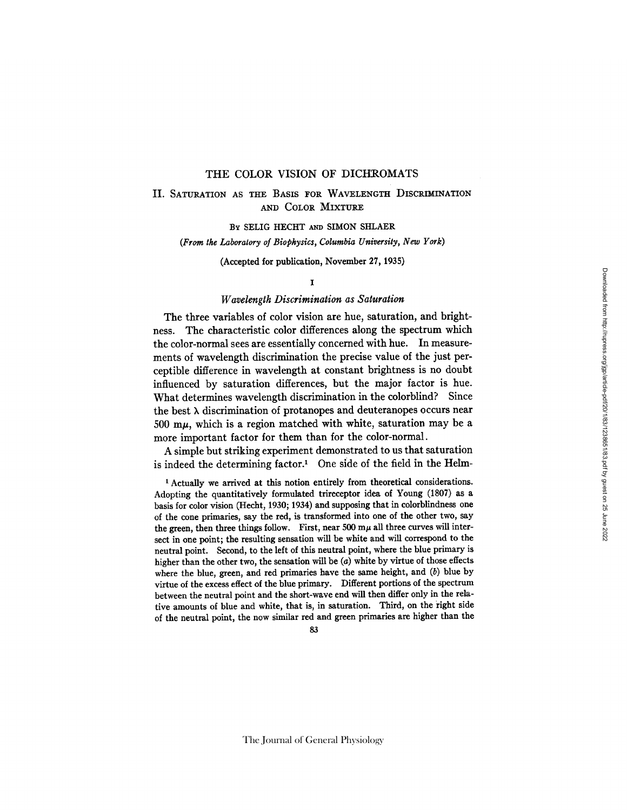## THE COLOR VISION OF DICHROMATS

## II. SATURATION AS THE BASIS FOR WAVELENGTH DISCRIMINATION AND COLOR MIXTURE

BY SELIG HECHT AND SIMON SHLAER

#### *(From the Laboratory of Biophysics, Columbia University, New York)*

(Accepted for publication, November 27, 1935)

## *I*

### *Wavelength Discrimination as Saturation*

The three variables of color vision are hue, saturation, and brightness. The characteristic color differences along the spectrum which the color-normal sees are essentially concerned with hue. In measurements of wavelength discrimination the precise value of the just perceptible difference in wavelength at constant brightness is no doubt influenced by saturation differences, but the major factor is hue. What determines wavelength discrimination in the colorblind? Since the best  $\lambda$  discrimination of protanopes and deuteranopes occurs near 500 m $\mu$ , which is a region matched with white, saturation may be a more important factor for them than for the color-normal.

A simple but striking experiment demonstrated to us that saturation is indeed the determining factor.<sup>1</sup> One side of the field in the Helm-

1 Actually we arrived at this notion entirely from theoretical considerations. Adopting the quantitatively formulated trireceptor idea of Young (1807) as a basis for color vision (Hecht, 1930; 1934) and supposing that in colorblindness one of the cone primaries, say the red, is transformed into one of the other two, say the green, then three things follow. First, near 500  $m\mu$  all three curves will intersect in one point; the resulting sensation will be white and will correspond to the neutral point. Second, to the left of this neutral point, where the blue primary is higher than the other two, the sensation will be  $(a)$  white by virtue of those effects where the blue, green, and red primaries have the same height, and  $(b)$  blue by virtue of the excess effect of the blue primary. Different portions of the spectrum between the neutral point and the short-wave end will then differ only in the relative amounts of blue and white, that is, in saturation. Third, on the right side of the neutral point, the now similar red and green primaries are higher than the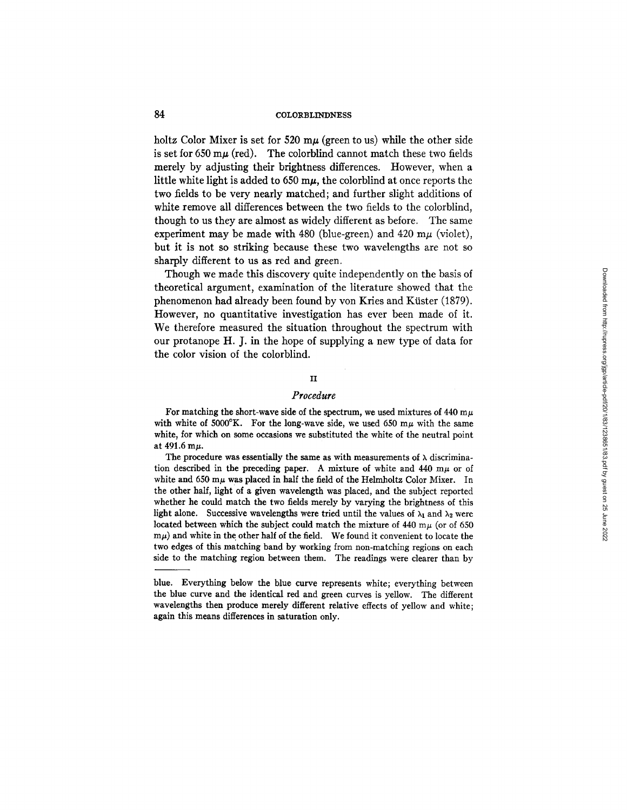holtz Color Mixer is set for 520  $m\mu$  (green to us) while the other side is set for 650 m $\mu$  (red). The colorblind cannot match these two fields merely by adjusting their brightness differences. However, when a little white light is added to  $650 \text{ m}\mu$ , the colorblind at once reports the two fields to be very nearly matched; and further slight additions of white remove all differences between the two fields to the colorblind, though to us they are almost as widely different as before. The same experiment may be made with 480 (blue-green) and 420 m $\mu$  (violet), but it is not so striking because these two wavelengths are not so sharply different to us as red and green.

Though we made this discovery quite independently on the basis of theoretical argument, examination of the literature showed that the phenomenon had already been found by von Kries and Küster (1879). However, no quantitative investigation has ever been made of it. We therefore measured the situation throughout the spectrum with our protanope H. J. in the hope of supplying a new type of data for the color vision of the colorblind.

## II

#### *Procedure*

For matching the short-wave side of the spectrum, we used mixtures of 440 m $\mu$ with white of  $5000^{\circ}$ K. For the long-wave side, we used 650 m $\mu$  with the same white, for which on some occasions we substituted the white of the neutral point at  $491.6$  m $\mu$ .

The procedure was essentially the same as with measurements of  $\lambda$  discrimination described in the preceding paper. A mixture of white and 440 m $\mu$  or of white and 650 m $\mu$  was placed in half the field of the Helmholtz Color Mixer. In the other half, light of a given wavelength was placed, and the subject reported whether he could match the two fields merely by varying the brightness of this light alone. Successive wavelengths were tried until the values of  $\lambda_1$  and  $\lambda_2$  were located between which the subject could match the mixture of 440 m $\mu$  (or of 650  $m<sub>\mu</sub>$ ) and white in the other half of the field. We found it convenient to locate the two edges of this matching band by working from non-matching regions on each side to the matching region between them. The readings were clearer than by

blue. Everything below the blue curve represents white; everything between the blue curve and the identical red and green curves is yellow. The different wavelengths then produce merely different relative effects of yellow and white; again this means differences in saturation only.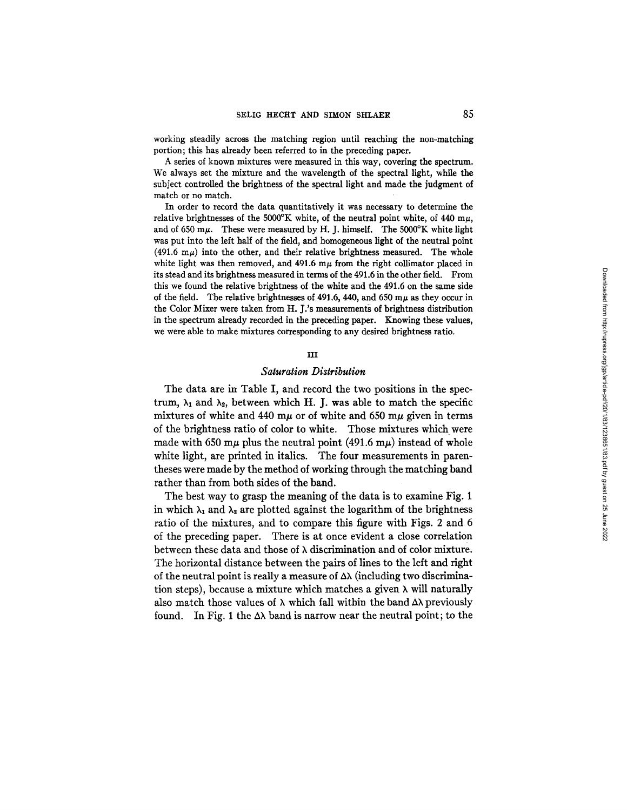working steadily across the matching region until reaching the non-matching portion; this has already been referred to in the preceding paper.

A series of known mixtures were measured in this way, covering the spectrum. We always set the mixture and the wavelength of the spectral light, while the subject controlled the brightness of the spectral light and made the judgment of match or no match.

In order to record the data quantitatively it was necessary to determine the relative brightnesses of the 5000°K white, of the neutral point white, of 440 m $\mu$ , and of 650 m $\mu$ . These were measured by H. J. himself. The 5000°K white light was put into the left half of the field, and homogeneous light of the neutral point (491.6 m $\mu$ ) into the other, and their relative brightness measured. The whole white light was then removed, and  $491.6$  m $\mu$  from the right collimator placed in its stead and its brightness measured in terms of the 491.6 in the other field. From this we found the relative brightness of the white and the 491.6 on the same side of the field. The relative brightnesses of 491.6, 440, and 650 m $\mu$  as they occur in the Color Mixer were taken from H. J.'s measurements of brightness distribution in the spectrum already recorded in the preceding paper. Knowing these values, we were able to make mixtures corresponding to any desired brightness ratio.

## III

#### *Saturation Distribution*

The data are in Table I, and record the two positions in the spectrum,  $\lambda_1$  and  $\lambda_2$ , between which H. J. was able to match the specific mixtures of white and 440 m $\mu$  or of white and 650 m $\mu$  given in terms of the brightness ratio of color to white. Those mixtures which were made with 650 m $\mu$  plus the neutral point (491.6 m $\mu$ ) instead of whole white light, are printed in italics. The four measurements in parentheses were made by the method of working through the matching band rather than from both sides of the band.

The best way to grasp the meaning of the data is to examine Fig. 1 in which  $\lambda_1$  and  $\lambda_2$  are plotted against the logarithm of the brightness ratio of the mixtures, and to compare this figure with Figs. 2 and 6 of the preceding paper. There is at once evident a close correlation between these data and those of  $\lambda$  discrimination and of color mixture. The horizontal distance between the pairs of lines to the left and fight of the neutral point is really a measure of  $\Delta\lambda$  (including two discrimination steps), because a mixture which matches a given  $\lambda$  will naturally also match those values of  $\lambda$  which fall within the band  $\Delta\lambda$  previously found. In Fig. 1 the  $\Delta\lambda$  band is narrow near the neutral point; to the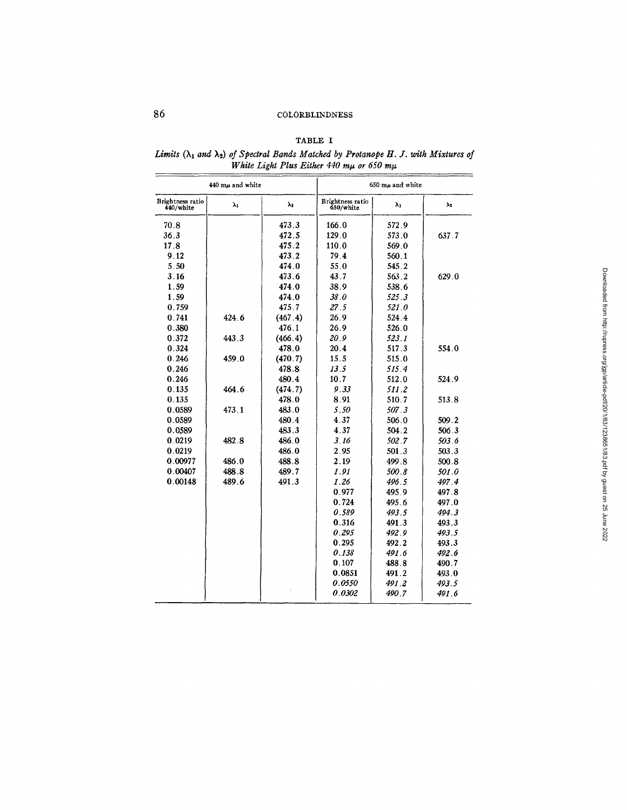## TABLE I

Limits ( $\lambda_1$  and  $\lambda_2$ ) of Spectral Bands Matched by Protanope H. J. with Mixtures of *White Light Plus Either 440 mµ or 650 mµ* 

| 440 mu and white                     |             |         | 650 mu and white              |             |             |
|--------------------------------------|-------------|---------|-------------------------------|-------------|-------------|
| <b>Brightness ratio</b><br>440/white | $\lambda_1$ | λ2      | Brightness ratio<br>650/white | $\lambda_1$ | $\lambda_2$ |
| 70.8                                 |             | 4733    | 166.0                         | 572.9       |             |
| 36.3                                 |             | 472.5   | 129.0                         | 573.0       | 637.7       |
| 17.8                                 |             | 475.2   | 110.0                         | 569.0       |             |
| 9.12                                 |             | 473.2   | 79.4                          | 560.1       |             |
| 5.50                                 |             | 474.0   | 55.0                          | 545.2       |             |
| 3.16                                 |             | 473.6   | 43.7                          | 563.2       | 629.0       |
| 1.59                                 |             | 474.0   | 38.9                          | 538.6       |             |
| 1.59                                 |             | 474.0   | 38.0                          | 525.3       |             |
| 0.759                                |             | 475.7   | 27.5                          | 521.0       |             |
| 0.741                                | 424.6       | (467.4) | 26.9                          | 524.4       |             |
| 0.380                                |             | 476.1   | 26.9                          | 526.0       |             |
| 0.372                                | 443.3       | (466.4) | 20.9                          | 523.1       |             |
| 0.324                                |             | 478.0   | 20.4                          | 517.3       | 554.0       |
| 0.246                                | 459.0       | (470.7) | 15.5                          | 515.0       |             |
| 0.246                                |             | 478.8   | 13.5                          | 515.4       |             |
| 0.246                                |             | 480.4   | 10.7                          | 512.0       | 524.9       |
| 0.135                                | 464.6       | (474.7) | 9.33                          | 511.2       |             |
| 0.135                                |             | 478.0   | 8.91                          | 510.7       | 513.8       |
| 0.0589                               | 473.1       | 483.0   | 5.50                          | 507.3       |             |
| 0.0589                               |             | 480.4   | 4.37                          | 506.0       | 509.2       |
| 0.0589                               |             | 483.3   | 4.37                          | 504.2       | 506.3       |
| 0.0219                               | 482.8       | 486.0   | 3.16                          | 502.7       | 503.6       |
| 0.0219                               |             | 486.0   | 2.95                          | 501.3       | 503.3       |
| 0.00977                              | 486.0       | 488.8   | 2.19                          | 499.8       | 500.8       |
| 0.00407                              | 488.8       | 489.7   | 1.91                          | 500.8       | 501.0       |
| 0.00148                              | 489.6       | 491.3   | 1.26                          | 496.5       | 497.4       |
|                                      |             |         | 0.977                         | 495.9       | 497.8       |
|                                      |             |         | 0.724                         | 495.6       | 497.0       |
|                                      |             |         | 0.589                         | 493.5       | 494 3       |
|                                      |             |         | 0.316                         | 491.3       | 493.3       |
|                                      |             |         | 0.295                         | 492.9       | 493.5       |
|                                      |             |         | 0.295                         | 492.2       | 493.3       |
|                                      |             |         | 0.138                         | 491.6       | 492.6       |
|                                      |             |         | 0.107                         | 488.8       | 490.7       |
|                                      |             |         | 0.0851                        | 491.2       | 493.0       |
|                                      |             |         | 0.0550                        | 491.2       | 493.5       |
|                                      |             |         | 0.0302                        | 490.7       | 491.6       |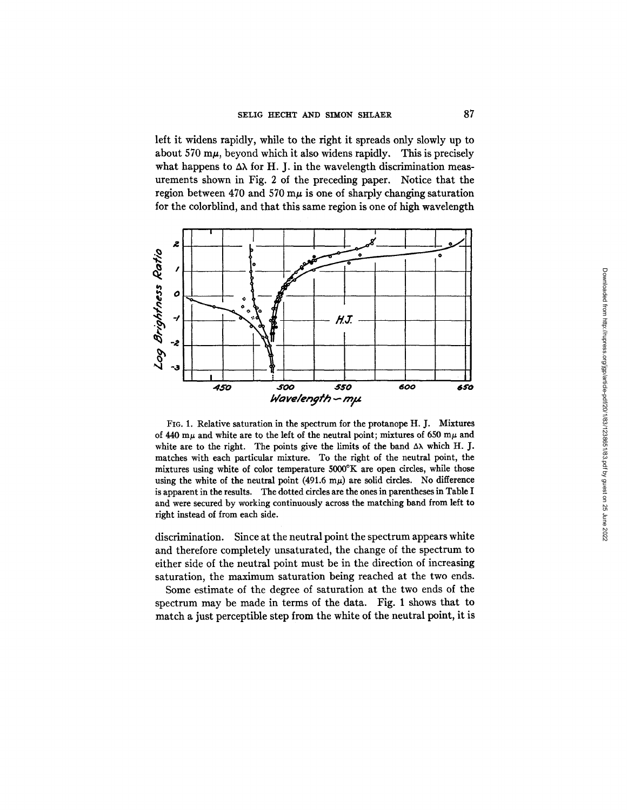left it widens rapidly, while to the right it spreads only slowly up to about 570 m $\mu$ , beyond which it also widens rapidly. This is precisely what happens to  $\Delta\lambda$  for H. J. in the wavelength discrimination measurements shown in Fig. 2 of the preceding paper. Notice that the region between 470 and 570 m $\mu$  is one of sharply changing saturation for the colorblind, and that this same region is one of high wavelength



FIG. 1. Relative saturation in the spectrum for the protanope H.J. Mixtures of 440 m $\mu$  and white are to the left of the neutral point; mixtures of 650 m $\mu$  and white are to the right. The points give the limits of the band  $\Delta\lambda$  which H. J. matches with each particular mixture. To the right of the neutral point, the mixtures using white of color temperature 5000°K are open circles, while those using the white of the neutral point (491.6 m $\mu$ ) are solid circles. No difference is apparent in the results. The dotted circles are the ones in parentheses in Table I and were secured by working continuously across the matching band from left to right instead of from each side.

discrimination. Since at the neutral point the spectrum appears white and therefore completely unsaturated, the change of the spectrum to either side of the neutral point must be in the direction of increasing saturation, the maximum saturation being reached at the two ends.

Some estimate of the degree of saturation at the two ends of the spectrum may be made in terms of the data. Fig. 1 shows that to match a just perceptible step from the white of the neutral point, it is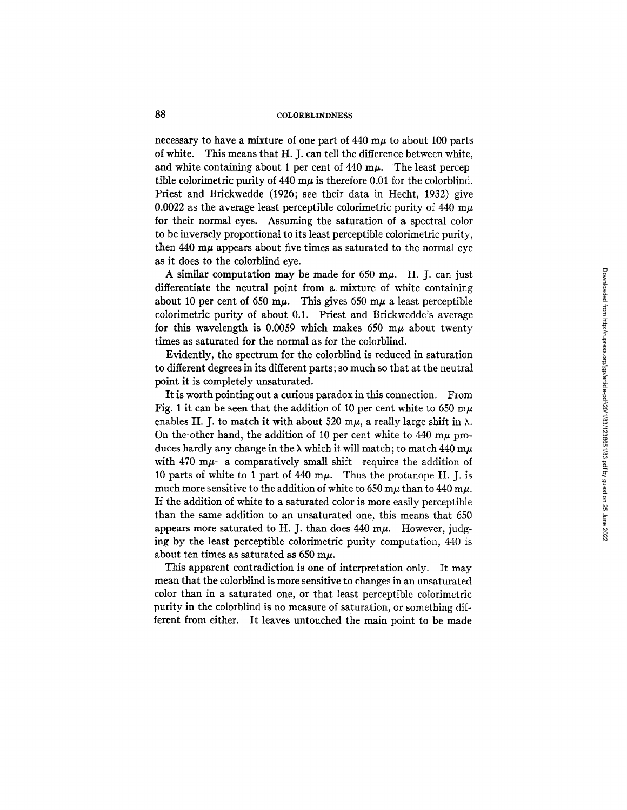necessary to have a mixture of one part of  $440~\text{m}\mu$  to about 100 parts of white. This means that H. J. can tell the difference between white, and white containing about 1 per cent of  $440 \text{ m}\mu$ . The least perceptible colorimetric purity of  $440 \text{ m}\mu$  is therefore 0.01 for the colorblind. Priest and Brickwedde (1926; see their data in Hecht, 1932) give 0.0022 as the average least perceptible colorimetric purity of 440 m $\mu$ for their normal eyes. Assuming the saturation of a spectral color to be inversely proportional to its least perceptible colorimetric purity, then  $440 \text{ m}\mu$  appears about five times as saturated to the normal eye as it does to the colorblind eye.

A similar computation may be made for  $650 \text{ m}\mu$ . H. J. can just differentiate the neutral point from a mixture of white containing about 10 per cent of 650 m $\mu$ . This gives 650 m $\mu$  a least perceptible colorimetric purity of about 0.1. Priest and Brickwedde's average for this wavelength is 0.0059 which makes 650 m $\mu$  about twenty times as saturated for the normal as for the colorblind.

Evidently, the spectrum for the colorblind is reduced in saturation to different degrees in its different parts; so much so that at the neutral point it is completely unsaturated.

It is worth pointing out a curious paradox in this connection. From Fig. 1 it can be seen that the addition of 10 per cent white to 650 m $\mu$ enables H. J. to match it with about 520 m $\mu$ , a really large shift in  $\lambda$ . On the other hand, the addition of 10 per cent white to 440  $mu$  produces hardly any change in the  $\lambda$  which it will match; to match 440 m $\mu$ with 470 m $\mu$ -a comparatively small shift-requires the addition of 10 parts of white to 1 part of 440 m $\mu$ . Thus the protanope H. I. is much more sensitive to the addition of white to 650 m $\mu$  than to 440 m $\mu$ . If the addition of white to a saturated color is more easily perceptible than the same addition to an unsaturated one, this means that 650 appears more saturated to H. J. than does  $440 \text{ m}\mu$ . However, judging by the least perceptible colorimetric purity computation, 440 is about ten times as saturated as  $650 \text{ m}\mu$ .

This apparent contradiction is one of interpretation only. It may mean that the colorblind is more sensitive to changes in an unsaturated color than in a saturated one, or that least perceptible colorimetric purity in the colorblind is no measure of saturation, or something different from either. It leaves untouched the main point to be made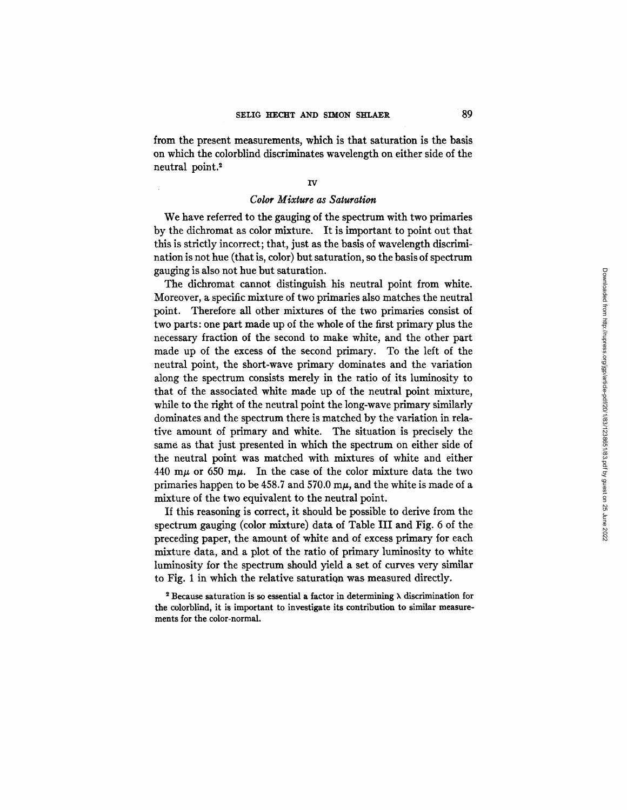from the present measurements, which is that saturation is the basis on which the colorblind discriminates wavelength on either side of the neutral point.<sup>2</sup>

## IV

# *Color Mixture as Saturation*

We have referred to the gauging of the spectrum with two primaries by the dichromat as color mixture. It is important to point out that this is strictly incorrect; that, just as the basis of wavelength discrimination is not hue (that is, color) but saturation, so the basis of spectrum gauging is also not hue but saturation.

The dichromat cannot distinguish his neutral point from white. Moreover, a specific mixture of two primaries also matches the neutral point. Therefore all other mixtures of the two primaries consist of two parts: one part made up of the whole of the first primary plus the necessary fraction of the second to make white, and the other part made up of the excess of the second primary. To the left of the neutral point, the short-wave primary dominates and the variation along the spectrum consists merely in the ratio of its luminosity to that of the associated white made up of the neutral point mixture, while to the right of the neutral point the long-wave primary similarly dominates and the spectrum there is matched by the variation in relative amount of primary and white. The situation is precisely the same as that just presented in which the spectrum on either side of the neutral point was matched with mixtures of white and either 440 m $\mu$  or 650 m $\mu$ . In the case of the color mixture data the two primaries happen to be 458.7 and 570.0 m $\mu$ , and the white is made of a mixture of the two equivalent to the neutral point.

If this reasoning is correct, it should be possible to derive from the spectrum gauging (color mixture) data of Table III and Fig. 6 of the preceding paper, the amount of white and of excess primary for each mixture data, and a plot of the ratio of primary luminosity to white luminosity for the spectrum should yield a set of curves very similar to Fig. 1 in which the relative saturation was measured directly.

<sup>&</sup>lt;sup>2</sup> Because saturation is so essential a factor in determining  $\lambda$  discrimination for the colorblind, it is important to investigate its contribution to similar measurements for the color-normal.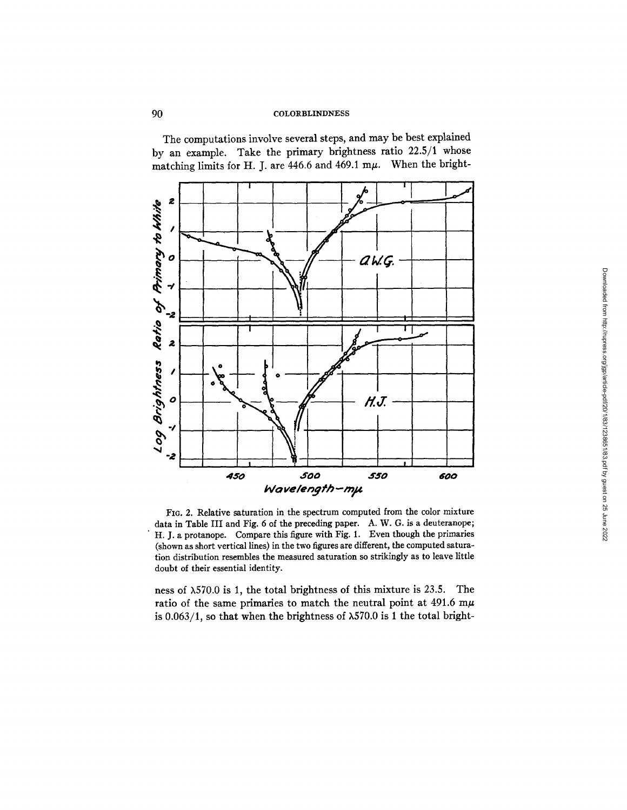The computations involve several steps, and may be best explained by an example. Take the primary brightness ratio 22.5/1 whose matching limits for H. J. are 446.6 and 469.1 m $\mu$ . When the bright-



FIG. 2. Relative saturation in the spectrum computed from the color mixture data in Table III and Fig. 6 of the preceding paper. A.W.G. is a deuteranope; H. J. a protanope. Compare this figure with Fig. 1. Even though the primaries (shown as short vertical lines) in the two figures are different, the computed saturation distribution resembles the measured saturation so strikingly as to leave little doubt of their essential identity.

ness of X570.0 is 1, the total brightness of this mixture is 23.5. The ratio of the same primaries to match the neutral point at  $491.6$  m $\mu$ is  $0.063/1$ , so that when the brightness of  $\lambda 570.0$  is 1 the total bright-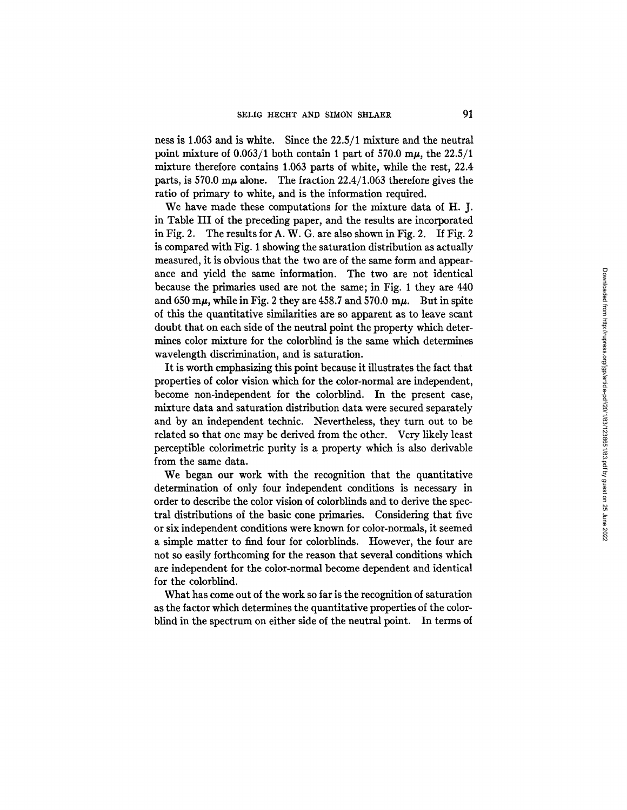ness is 1.063 and is white. Since the 22.5/1 mixture and the neutral point mixture of  $0.063/1$  both contain 1 part of  $570.0$  m $\mu$ , the 22.5/1 mixture therefore contains 1.063 parts of white, while the rest, 22.4 parts, is 570.0 m $\mu$  alone. The fraction 22.4/1.063 therefore gives the ratio of primary to white, and is the information required.

We have made these computations for the mixture data of H. J. in Table III of the preceding paper, and the results are incorporated in Fig. 2. The results for A. W. G. are also shown in Fig. 2. If Fig. 2 is compared with Fig. 1 showing the saturation distribution as actually measured, it is obvious that the two are of the same form and appearance and yield the same information. The two are not identical because the primaries used are not the same; in Fig. 1 they are 440 and 650 m $\mu$ , while in Fig. 2 they are 458.7 and 570.0 m $\mu$ . But in spite of this the quantitative similarities are so apparent as to leave scant doubt that on each side of the neutral point the property which determines color mixture for the colorblind is the same which determines wavelength discrimination, and is saturation.

It is worth emphasizing this point because it illustrates the fact that properties of color vision which for the color-normal are independent, become non-independent for the colorblind. In the present case, mixture data and saturation distribution data were secured separately and by an independent technic. Nevertheless, they turn out to be related so that one may be derived from the other. Very likely least perceptible colorimetric purity is a property which is also derivable from the same data.

We began our work with the recognition that the quantitative determination of only four independent conditions is necessary in order to describe the color vision of colorblinds and to derive the spectral distributions of the basic cone primaries. Considering that five or six independent conditions were known for color-normals, it seemed a simple matter to find four for colorblinds. However, the four are not so easily forthcoming for the reason that several conditions which are independent for the color-normal become dependent and identical for the colorblind.

What has come out of the work so far is the recognition of saturation as the factor which determines the quantitative properties of the colorblind in the spectrum on either side of the neutral point. In terms of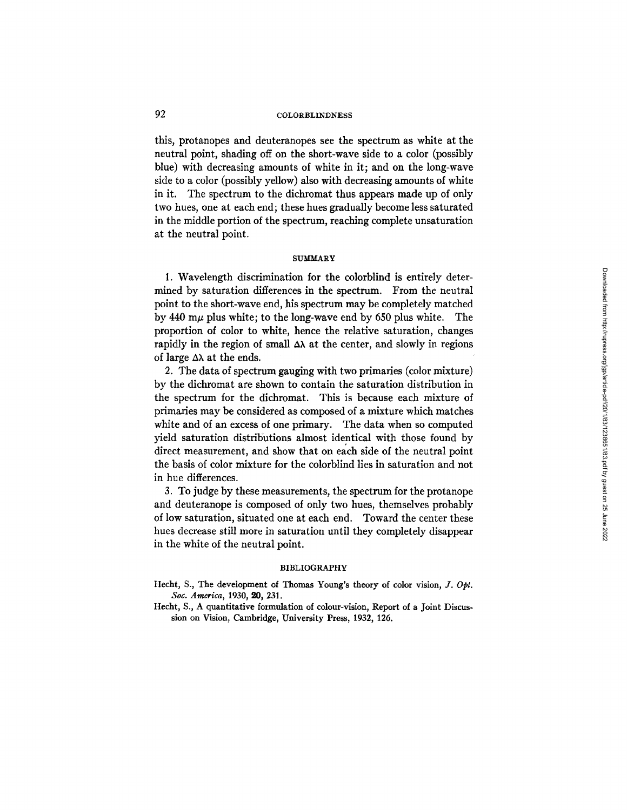this, protanopes and deuteranopes see the spectrum as white at the neutral point, shading off on the short-wave side to a color (possibly blue) with decreasing amounts of white in it; and on the long-wave side to a color (possibly yellow) also with decreasing amounts of white in it. The spectrum to the dichromat thus appears made up of only two hues, one at each end; these hues gradually become less saturated in the middle portion of the spectrum, reaching complete unsaturation at the neutral point.

#### **SUMMARY**

1. Wavelength discrimination for the colorblind is entirely determined by saturation differences in the spectrum. From the neutral point to the short-wave end, his spectrum may be completely matched by 440 m $\mu$  plus white; to the long-wave end by 650 plus white. The proportion of color to white, hence the relative saturation, changes rapidly in the region of small  $\Delta\lambda$  at the center, and slowly in regions of large  $\Delta\lambda$  at the ends.

2. The data of spectrum gauging with two primaries (color mixture) by the dichromat are shown to contain the saturation distribution in the spectrum for the dichromat. This is because each mixture of primaries may be considered as composed of a mixture which matches white and of an excess of one primary. The data when so computed yield saturation distributions almost identical with those found by direct measurement, and show that on each side of the neutral point the basis of color mixture for the colorblind lies in saturation and not in hue differences.

3. To judge by these measurements, the spectrum for the protanope and deuteranope is composed of only two hues, themselves probably of low saturation, situated one at each end. Toward the center these hues decrease still more in saturation until they completely disappear in the white of the neutral point.

#### BIBLIOGRAPHY

- Hecht, S., The development of Thomas ¥oung's theory of color vision, Y. *Opt. Soc. America,* 1930, 20, 231.
- Hecht, S., A quantitative formulation of colour-vision, Report of a Joint **Discussion on Vision, Cambridge, University Press, 1932, 126.**